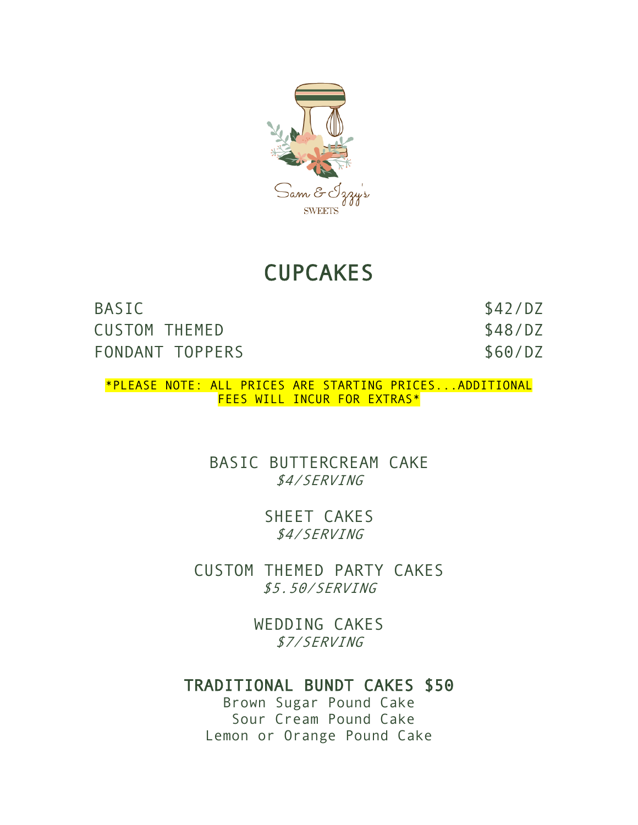

## **CUPCAKES**

BASIC \$42/DZ CUSTOM THEMED \$48/DZ FONDANT TOPPERS \$60/DZ

\*PLEASE NOTE: ALL PRICES ARE STARTING PRICES...ADDITIONAL FEES WILL INCUR FOR EXTRAS\*

> BASIC BUTTERCREAM CAKE \$4/SERVING

> > SHEET CAKES \$4/SERVING

CUSTOM THEMED PARTY CAKES \$5.50/SERVING

> WEDDING CAKES \$7/SERVING

## TRADITIONAL BUNDT CAKES \$50

Brown Sugar Pound Cake Sour Cream Pound Cake Lemon or Orange Pound Cake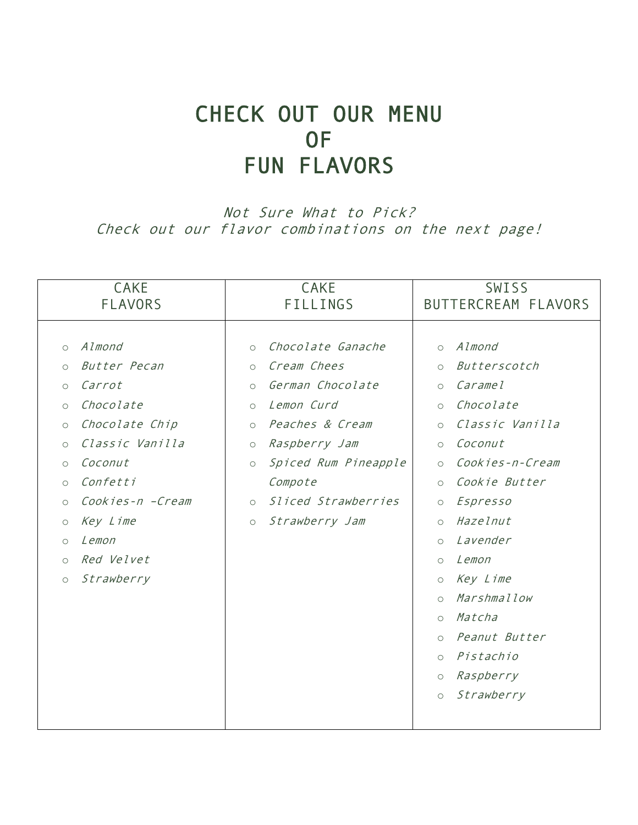# CHECK OUT OUR MENU OF FUN FLAVORS

Not Sure What to Pick? Check out our flavor combinations on the next page!

| <b>CAKE</b>                                                                                                                                                                                                                                                                                                                                                                      | <b>CAKE</b>                                                                                                                                                                                                                                                                                                                              | SWISS                                                                                                                                                                                                                                                                                                                                                                                                                                                                                                   |
|----------------------------------------------------------------------------------------------------------------------------------------------------------------------------------------------------------------------------------------------------------------------------------------------------------------------------------------------------------------------------------|------------------------------------------------------------------------------------------------------------------------------------------------------------------------------------------------------------------------------------------------------------------------------------------------------------------------------------------|---------------------------------------------------------------------------------------------------------------------------------------------------------------------------------------------------------------------------------------------------------------------------------------------------------------------------------------------------------------------------------------------------------------------------------------------------------------------------------------------------------|
| <b>FLAVORS</b>                                                                                                                                                                                                                                                                                                                                                                   | <b>FILLINGS</b>                                                                                                                                                                                                                                                                                                                          | BUTTERCREAM FLAVORS                                                                                                                                                                                                                                                                                                                                                                                                                                                                                     |
| Almond<br>$\circ$<br>Butter Pecan<br>$\circ$<br>Carrot<br>$\circlearrowright$<br>Chocolate<br>$\circlearrowright$<br>Chocolate Chip<br>$\circlearrowright$<br>Classic Vanilla<br>$\circ$<br>Coconut<br>$\circ$<br>Confetti<br>$\circ$<br>Cookies-n -Cream<br>$\circlearrowright$<br>Key Lime<br>$\bigcirc$<br>Lemon<br>$\circ$<br>Red Velvet<br>$\circ$<br>Strawberry<br>$\circ$ | Chocolate Ganache<br>$\circ$<br>Cream Chees<br>$\circ$<br>German Chocolate<br>$\circlearrowright$<br>Lemon Curd<br>$\circlearrowright$<br>Peaches & Cream<br>$\circ$<br>Raspberry Jam<br>$\circlearrowright$<br>Spiced Rum Pineapple<br>$\circlearrowright$<br>Compote<br>Sliced Strawberries<br>$\circ$<br>Strawberry Jam<br>$\bigcirc$ | Almond<br>$\circ$<br>Butterscotch<br>$\circ$<br>Carame <sub>l</sub><br>$\circlearrowright$<br>Chocolate<br>$\circ$<br>Classic Vanilla<br>$\circ$<br>Coconut<br>$\circ$<br>Cookies-n-Cream<br>$\circ$<br>Cookie Butter<br>$\circ$<br>Espresso<br>$\bigcirc$<br>Hazelnut<br>$\circ$<br>Lavender<br>$\circ$<br>Lemon<br>$\circ$<br>Key Lime<br>$\circ$<br>Marshmallow<br>$\circ$<br>Matcha<br>$\circ$<br>Peanut Butter<br>$\circ$<br>Pistachio<br>$\circ$<br>Raspberry<br>$\circ$<br>Strawberry<br>$\circ$ |